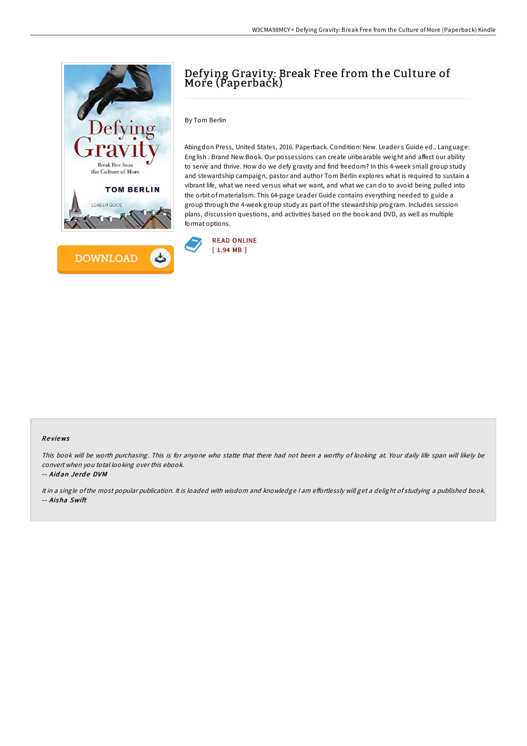



# Defying Gravity: Break Free from the Culture of More (Paperback)

By Tom Berlin

Abingdon Press, United States, 2016. Paperback. Condition: New. Leader s Guide ed.. Language: English . Brand New Book. Our possessions can create unbearable weight and affect our ability to serve and thrive. How do we defy gravity and find freedom? In this 4-week small group study and stewardship campaign, pastor and author Tom Berlin explores what is required to sustain a vibrant life, what we need versus what we want, and what we can do to avoid being pulled into the orbit of materialism. This 64-page Leader Guide contains everything needed to guide a group through the 4-week group study as part of the stewardship program. Includes session plans, discussion questions, and activities based on the book and DVD, as well as multiple format options.



#### Re views

This book will be worth purchasing. This is for anyone who statte that there had not been <sup>a</sup> worthy of looking at. Your daily life span will likely be convert when you total looking over this ebook.

-- Aid an Je rd e DVM

It in a single of the most popular publication. It is loaded with wisdom and knowledge I am effortlessly will get a delight of studying a published book. -- Aisha Swift